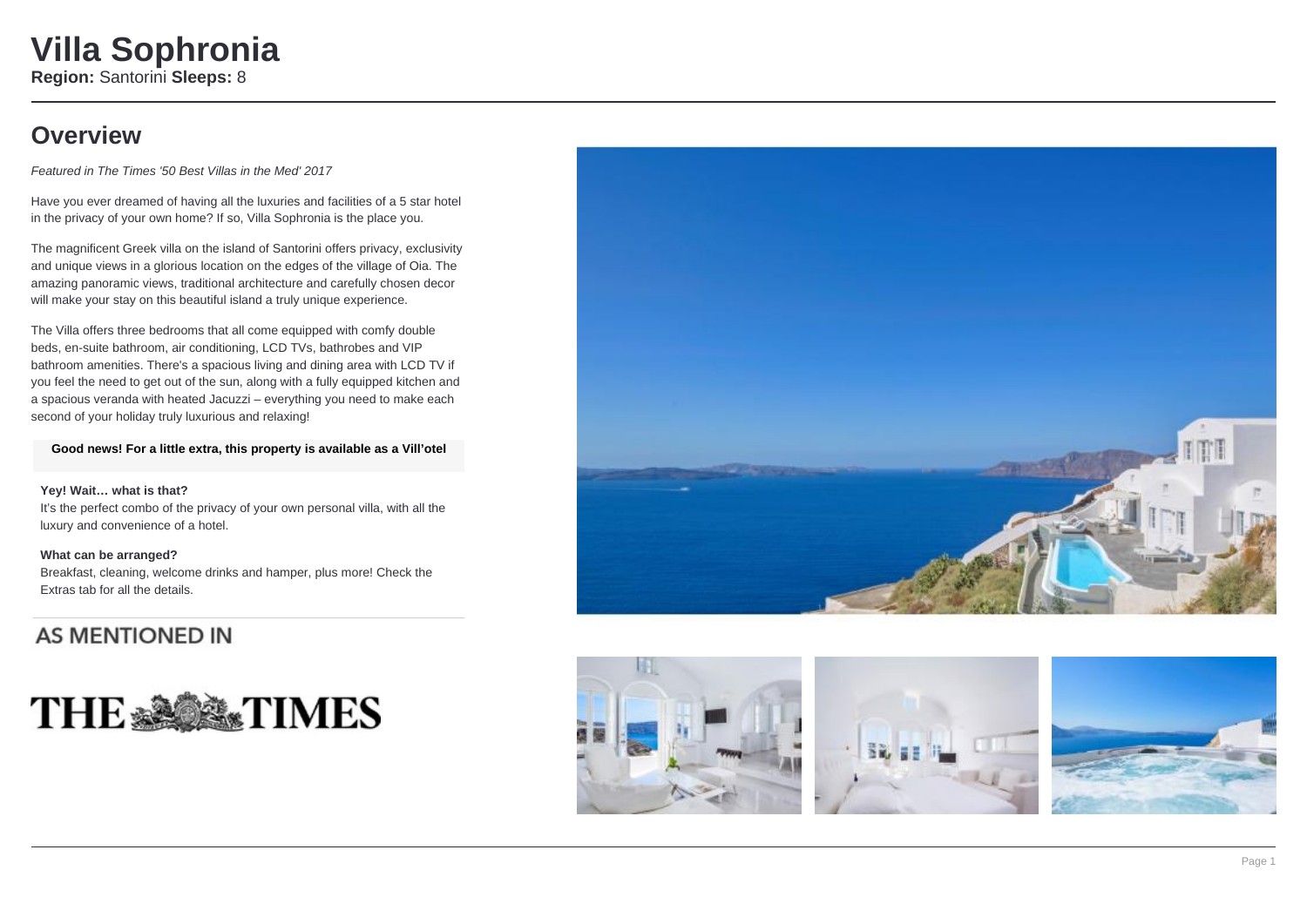### **Overview**

Featured in The Times '50 Best Villas in the Med' 2017

Have you ever dreamed of having all the luxuries and facilities of a 5 star hotel in the privacy of your own home? If so, Villa Sophronia is the place you.

The magnificent Greek villa on the island of Santorini offers privacy, exclusivity and unique views in a glorious location on the edges of the village of Oia. The amazing panoramic views, traditional architecture and carefully chosen decor will make your stay on this beautiful island a truly unique experience.

The Villa offers three bedrooms that all come equipped with comfy double beds, en-suite bathroom, air conditioning, LCD TVs, bathrobes and VIP bathroom amenities. There's a spacious living and dining area with LCD TV if you feel the need to get out of the sun, along with a fully equipped kitchen and a spacious veranda with heated Jacuzzi – everything you need to make each second of your holiday truly luxurious and relaxing!

**Good news! For a little extra, this property is available as a Vill'otel**

### **Yey! Wait… what is that?**

It's the perfect combo of the privacy of your own personal villa, with all the luxury and convenience of a hotel.

### **What can be arranged?**

Breakfast, cleaning, welcome drinks and hamper, plus more! Check the Extras tab for all the details.

### **AS MENTIONED IN**









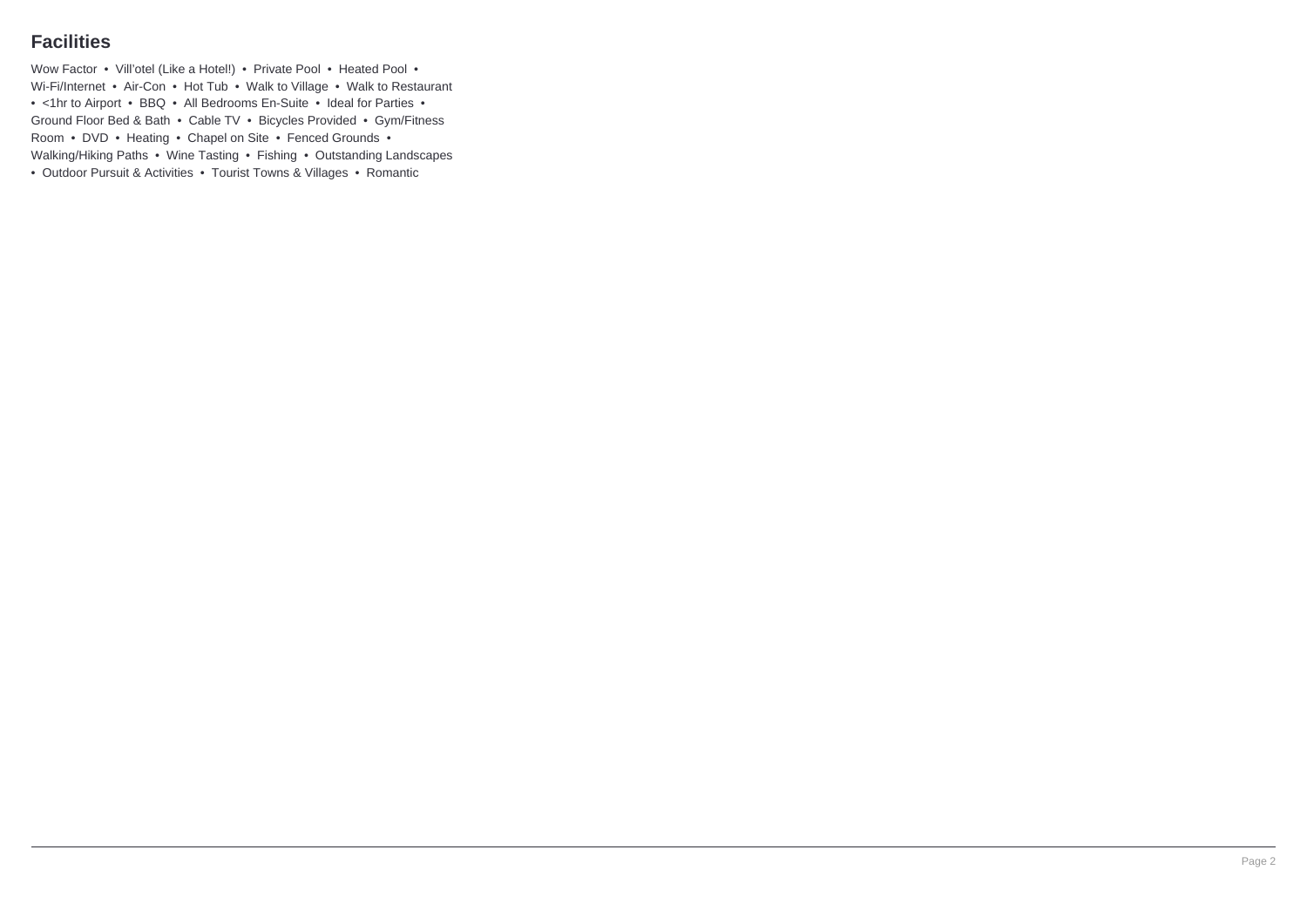### **Facilities**

Wow Factor • Vill'otel (Like a Hotel!) • Private Pool • Heated Pool • Wi-Fi/Internet • Air-Con • Hot Tub • Walk to Village • Walk to Restaurant • <1hr to Airport • BBQ • All Bedrooms En-Suite • Ideal for Parties • Ground Floor Bed & Bath • Cable TV • Bicycles Provided • Gym/Fitness Room • DVD • Heating • Chapel on Site • Fenced Grounds • Walking/Hiking Paths • Wine Tasting • Fishing • Outstanding Landscapes • Outdoor Pursuit & Activities • Tourist Towns & Villages • Romantic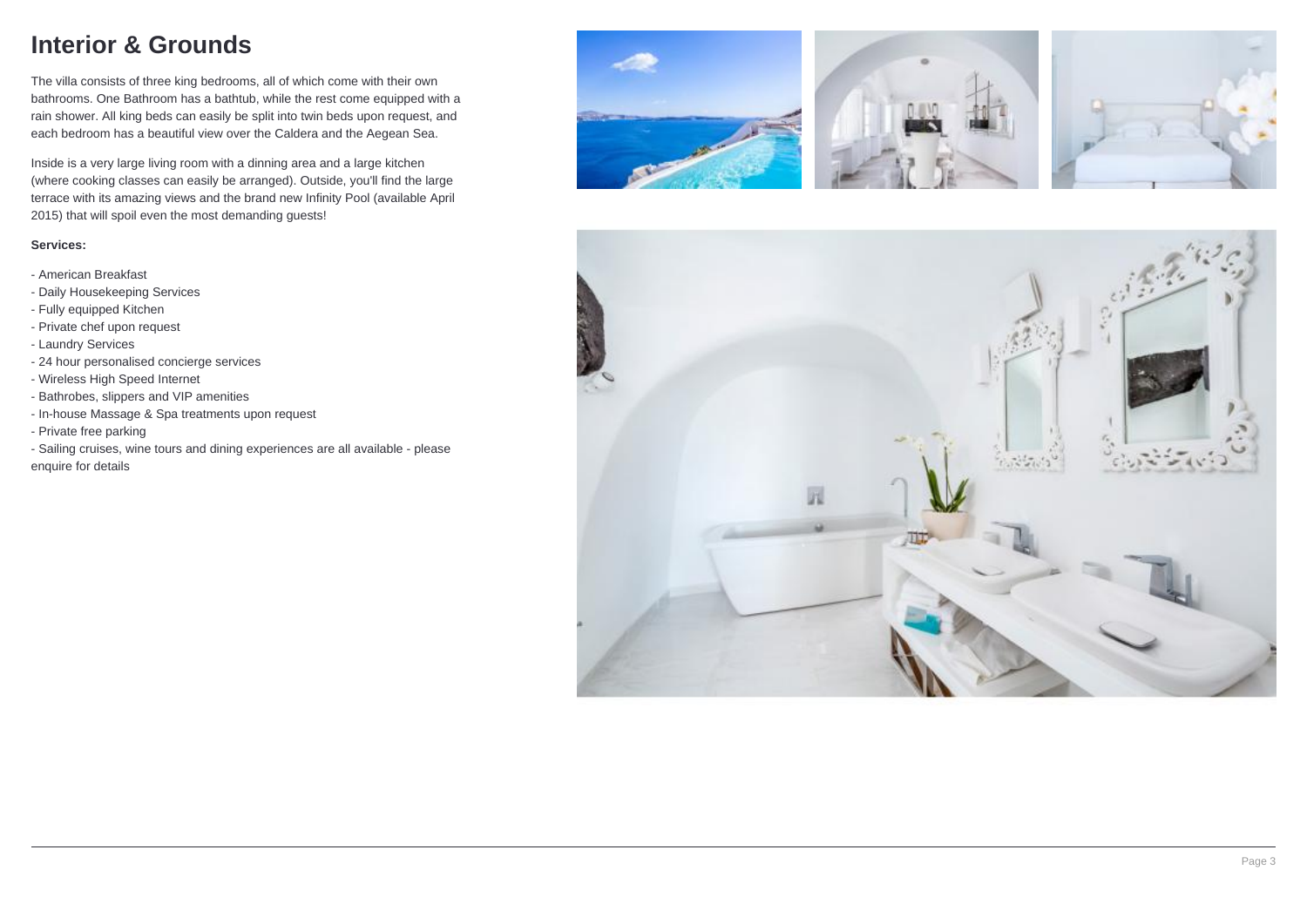## **Interior & Grounds**

The villa consists of three king bedrooms, all of which come with their own bathrooms. One Bathroom has a bathtub, while the rest come equipped with a rain shower. All king beds can easily be split into twin beds upon request, and each bedroom has a beautiful view over the Caldera and the Aegean Sea.

Inside is a very large living room with a dinning area and a large kitchen (where cooking classes can easily be arranged). Outside, you'll find the large terrace with its amazing views and the brand new Infinity Pool (available April 2015) that will spoil even the most demanding guests!

#### **Services:**

- American Breakfast
- Daily Housekeeping Services
- Fully equipped Kitchen
- Private chef upon request
- Laundry Services
- 24 hour personalised concierge services
- Wireless High Speed Internet
- Bathrobes, slippers and VIP amenities
- In-house Massage & Spa treatments upon request
- Private free parking
- Sailing cruises, wine tours and dining experiences are all available please enquire for details







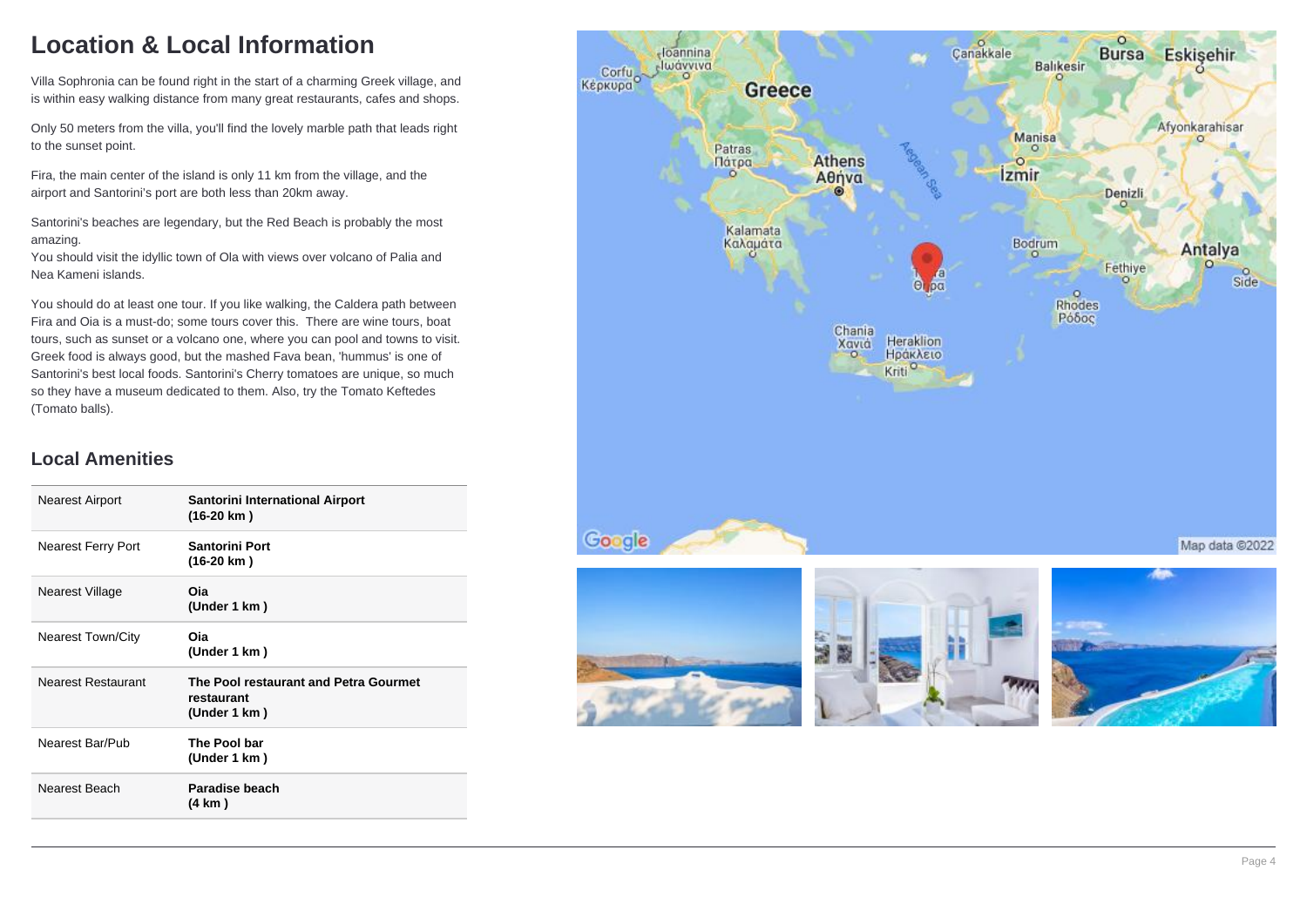# **Location & Local Information**

Villa Sophronia can be found right in the start of a charming Greek village, and is within easy walking distance from many great restaurants, cafes and shops.

Only 50 meters from the villa, you'll find the lovely marble path that leads right to the sunset point.

Fira, the main center of the island is only 11 km from the village, and the airport and Santorini's port are both less than 20km away.

Santorini's beaches are legendary, but the Red Beach is probably the most amazing.

You should visit the idyllic town of Ola with views over volcano of Palia and Nea Kameni islands.

You should do at least one tour. If you like walking, the Caldera path between Fira and Oia is a must-do; some tours cover this. There are wine tours, boat tours, such as sunset or a volcano one, where you can pool and towns to visit. Greek food is always good, but the mashed Fava bean, 'hummus' is one of Santorini's best local foods. Santorini's Cherry tomatoes are unique, so much so they have a museum dedicated to them. Also, try the Tomato Keftedes (Tomato balls).

### **Local Amenities**

| <b>Nearest Airport</b>    | Santorini International Airport<br>(16-20 km)                       |
|---------------------------|---------------------------------------------------------------------|
| <b>Nearest Ferry Port</b> | <b>Santorini Port</b><br>(16-20 km)                                 |
| Nearest Village           | Oia<br>(Under 1 km)                                                 |
| <b>Nearest Town/City</b>  | Oia<br>(Under 1 km)                                                 |
| Nearest Restaurant        | The Pool restaurant and Petra Gourmet<br>restaurant<br>(Under 1 km) |
| Nearest Bar/Pub           | The Pool bar<br>(Under 1 km)                                        |
| Nearest Beach             | Paradise beach<br>(4 km)                                            |

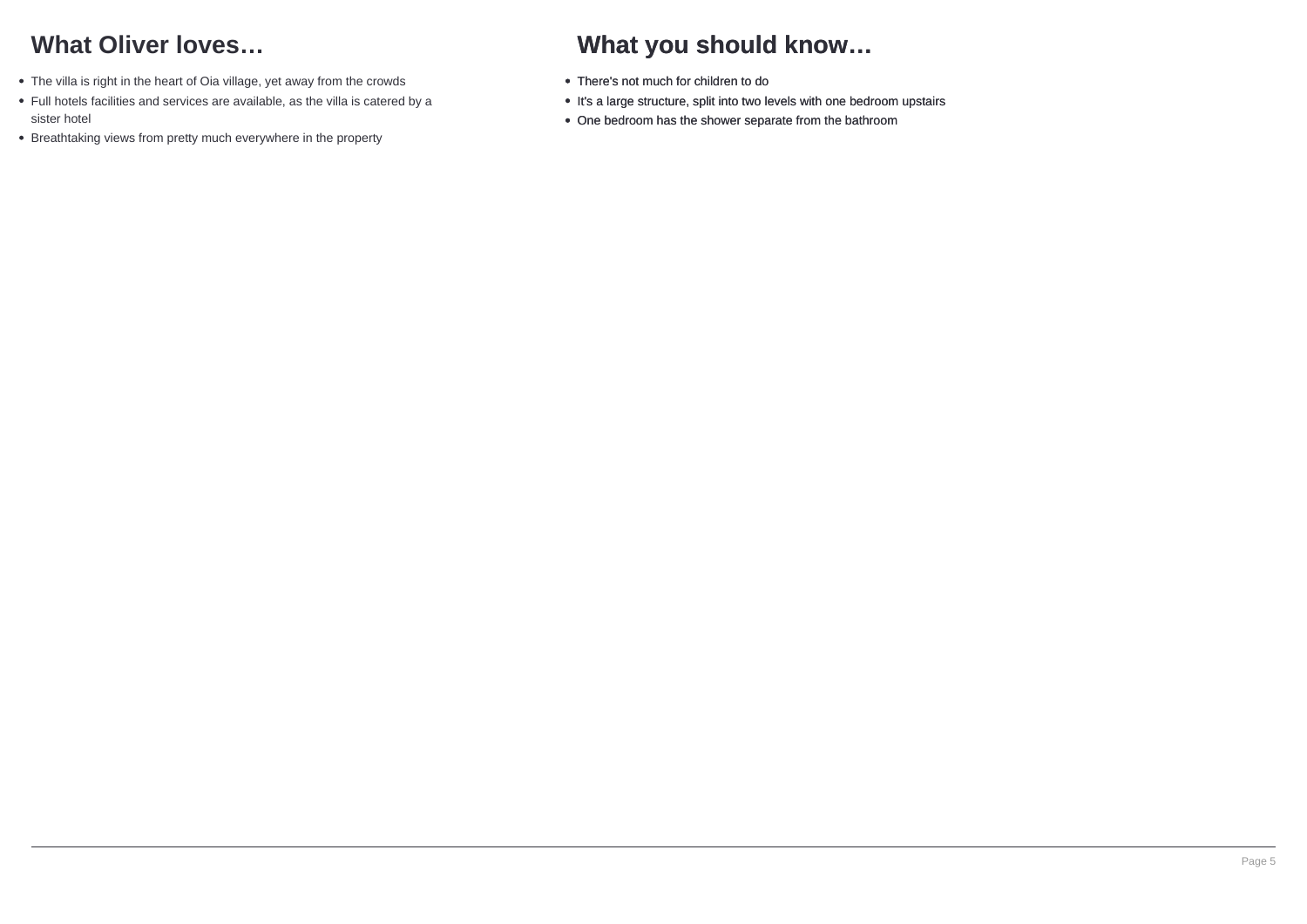# **What Oliver loves…**

- The villa is right in the heart of Oia village, yet away from the crowds
- Full hotels facilities and services are available, as the villa is catered by a sister hotel
- Breathtaking views from pretty much everywhere in the property

# **What you should know…**

- There's not much for children to do
- It's a large structure, split into two levels with one bedroom upstairs
- One bedroom has the shower separate from the bathroom